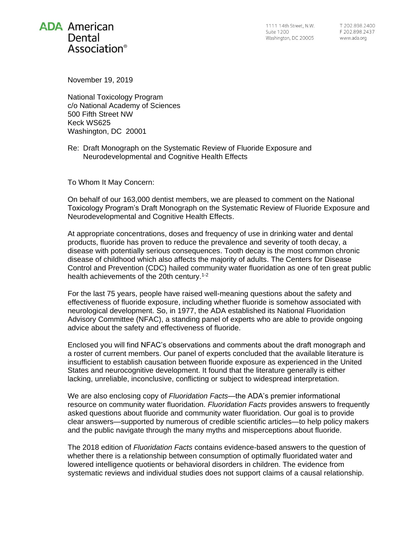# **ADA** American Dental Association<sup>®</sup>

1111 14th Street, N.W. **Suite 1200** Washington, DC 20005

T 202 898 2400 F 202.898.2437 www.ada.org

November 19, 2019

National Toxicology Program c/o National Academy of Sciences 500 Fifth Street NW Keck WS625 Washington, DC 20001

Re: Draft Monograph on the Systematic Review of Fluoride Exposure and Neurodevelopmental and Cognitive Health Effects

To Whom It May Concern:

On behalf of our 163,000 dentist members, we are pleased to comment on the National Toxicology Program's Draft Monograph on the Systematic Review of Fluoride Exposure and Neurodevelopmental and Cognitive Health Effects.

At appropriate concentrations, doses and frequency of use in drinking water and dental products, fluoride has proven to reduce the prevalence and severity of tooth decay, a disease with potentially serious consequences. Tooth decay is the most common chronic disease of childhood which also affects the majority of adults. The Centers for Disease Control and Prevention (CDC) hailed community water fluoridation as one of ten great public health achievements of the 20th century.1-2

For the last 75 years, people have raised well-meaning questions about the safety and effectiveness of fluoride exposure, including whether fluoride is somehow associated with neurological development. So, in 1977, the ADA established its National Fluoridation Advisory Committee (NFAC), a standing panel of experts who are able to provide ongoing advice about the safety and effectiveness of fluoride.

Enclosed you will find NFAC's observations and comments about the draft monograph and a roster of current members. Our panel of experts concluded that the available literature is insufficient to establish causation between fluoride exposure as experienced in the United States and neurocognitive development. It found that the literature generally is either lacking, unreliable, inconclusive, conflicting or subject to widespread interpretation.

We are also enclosing copy of *Fluoridation Facts*—the ADA's premier informational resource on community water fluoridation. *Fluoridation Facts* provides answers to frequently asked questions about fluoride and community water fluoridation. Our goal is to provide clear answers—supported by numerous of credible scientific articles—to help policy makers and the public navigate through the many myths and misperceptions about fluoride.

The 2018 edition of *Fluoridation Facts* contains evidence-based answers to the question of whether there is a relationship between consumption of optimally fluoridated water and lowered intelligence quotients or behavioral disorders in children. The evidence from systematic reviews and individual studies does not support claims of a causal relationship.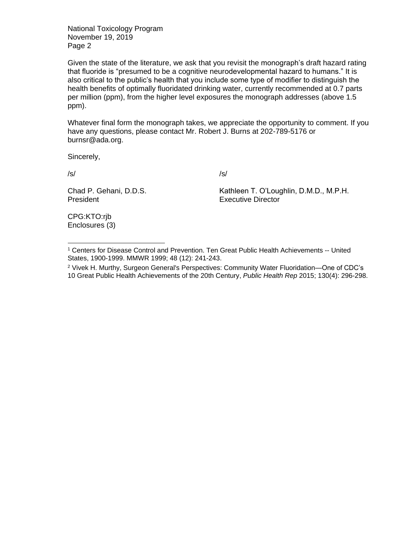National Toxicology Program November 19, 2019 Page 2

Given the state of the literature, we ask that you revisit the monograph's draft hazard rating that fluoride is "presumed to be a cognitive neurodevelopmental hazard to humans." It is also critical to the public's health that you include some type of modifier to distinguish the health benefits of optimally fluoridated drinking water, currently recommended at 0.7 parts per million (ppm), from the higher level exposures the monograph addresses (above 1.5 ppm).

Whatever final form the monograph takes, we appreciate the opportunity to comment. If you have any questions, please contact Mr. Robert J. Burns at 202-789-5176 or [burnsr@ada.org.](mailto:burnsr@ada.org)

Sincerely,

/s/

 $\overline{a}$ 

/s/

Chad P. Gehani, D.D.S. President

Kathleen T. O'Loughlin, D.M.D., M.P.H. Executive Director

CPG:KTO:rjb Enclosures (3)

<sup>1</sup> Centers for Disease Control and Prevention. Ten Great Public Health Achievements -- United States, 1900-1999. MMWR 1999; 48 (12): 241-243.

<sup>2</sup> Vivek H. Murthy, Surgeon General's Perspectives: Community Water Fluoridation—One of CDC's 10 Great Public Health Achievements of the 20th Century, *Public Health Rep* 2015; 130(4): 296-298.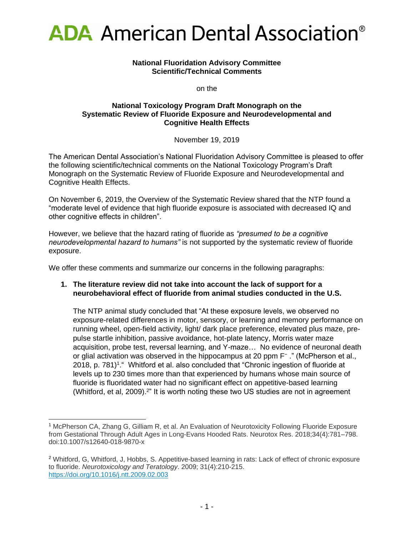

#### **National Fluoridation Advisory Committee Scientific/Technical Comments**

on the

#### **National Toxicology Program Draft Monograph on the Systematic Review of Fluoride Exposure and Neurodevelopmental and Cognitive Health Effects**

November 19, 2019

The American Dental Association's National Fluoridation Advisory Committee is pleased to offer the following scientific/technical comments on the National Toxicology Program's Draft Monograph on the Systematic Review of Fluoride Exposure and Neurodevelopmental and Cognitive Health Effects.

On November 6, 2019, the Overview of the Systematic Review shared that the NTP found a "moderate level of evidence that high fluoride exposure is associated with decreased IQ and other cognitive effects in children".

However, we believe that the hazard rating of fluoride as *"presumed to be a cognitive neurodevelopmental hazard to humans"* is not supported by the systematic review of fluoride exposure.

We offer these comments and summarize our concerns in the following paragraphs:

## **1. The literature review did not take into account the lack of support for a neurobehavioral effect of fluoride from animal studies conducted in the U.S.**

The NTP animal study concluded that "At these exposure levels, we observed no exposure-related differences in motor, sensory, or learning and memory performance on running wheel, open-field activity, light/ dark place preference, elevated plus maze, prepulse startle inhibition, passive avoidance, hot-plate latency, Morris water maze acquisition, probe test, reversal learning, and Y-maze… No evidence of neuronal death or glial activation was observed in the hippocampus at 20 ppm F<sup>-</sup> ." (McPherson et al., 2018, p. 781)<sup>1</sup>. Whitford et al. also concluded that "Chronic ingestion of fluoride at levels up to 230 times more than that experienced by humans whose main source of fluoride is fluoridated water had no significant effect on appetitive-based learning (Whitford, et al, 2009).<sup>2</sup>" It is worth noting these two US studies are not in agreement

 $\overline{a}$ 

<sup>1</sup> McPherson CA, Zhang G, Gilliam R, et al. An Evaluation of Neurotoxicity Following Fluoride Exposure from Gestational Through Adult Ages in Long-Evans Hooded Rats. Neurotox Res. 2018;34(4):781–798. doi:10.1007/s12640-018-9870-x

<sup>2</sup> Whitford, G, Whitford, J, Hobbs, S. Appetitive-based learning in rats: Lack of effect of chronic exposure to fluoride. *Neurotoxicology and Teratology*. 2009; 31(4):210-215. <https://doi.org/10.1016/j.ntt.2009.02.003>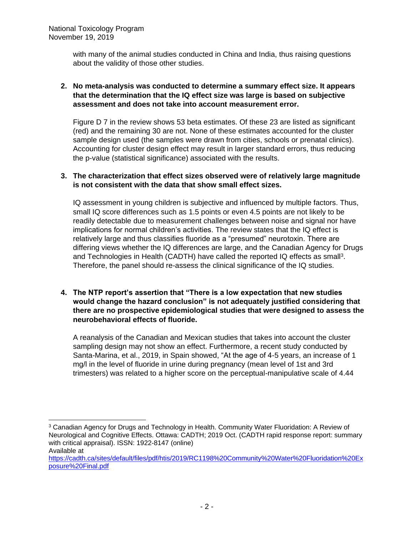with many of the animal studies conducted in China and India, thus raising questions about the validity of those other studies.

# **2. No meta-analysis was conducted to determine a summary effect size. It appears that the determination that the IQ effect size was large is based on subjective assessment and does not take into account measurement error.**

Figure D 7 in the review shows 53 beta estimates. Of these 23 are listed as significant (red) and the remaining 30 are not. None of these estimates accounted for the cluster sample design used (the samples were drawn from cities, schools or prenatal clinics). Accounting for cluster design effect may result in larger standard errors, thus reducing the p-value (statistical significance) associated with the results.

## **3. The characterization that effect sizes observed were of relatively large magnitude is not consistent with the data that show small effect sizes.**

IQ assessment in young children is subjective and influenced by multiple factors. Thus, small IQ score differences such as 1.5 points or even 4.5 points are not likely to be readily detectable due to measurement challenges between noise and signal nor have implications for normal children's activities. The review states that the IQ effect is relatively large and thus classifies fluoride as a "presumed" neurotoxin. There are differing views whether the IQ differences are large, and the Canadian Agency for Drugs and Technologies in Health (CADTH) have called the reported IQ effects as small<sup>3</sup>. Therefore, the panel should re-assess the clinical significance of the IQ studies.

# **4. The NTP report's assertion that "There is a low expectation that new studies would change the hazard conclusion" is not adequately justified considering that there are no prospective epidemiological studies that were designed to assess the neurobehavioral effects of fluoride.**

A reanalysis of the Canadian and Mexican studies that takes into account the cluster sampling design may not show an effect. Furthermore, a recent study conducted by Santa-Marina, et al., 2019, in Spain showed, "At the age of 4-5 years, an increase of 1 mg/l in the level of fluoride in urine during pregnancy (mean level of 1st and 3rd trimesters) was related to a higher score on the perceptual-manipulative scale of 4.44

Available at

 <sup>3</sup> Canadian Agency for Drugs and Technology in Health. Community Water Fluoridation: A Review of Neurological and Cognitive Effects. Ottawa: CADTH; 2019 Oct. (CADTH rapid response report: summary with critical appraisal). ISSN: 1922-8147 (online)

[https://cadth.ca/sites/default/files/pdf/htis/2019/RC1198%20Community%20Water%20Fluoridation%20Ex](https://cadth.ca/sites/default/files/pdf/htis/2019/RC1198%20Community%20Water%20Fluoridation%20Exposure%20Final.pdf) [posure%20Final.pdf](https://cadth.ca/sites/default/files/pdf/htis/2019/RC1198%20Community%20Water%20Fluoridation%20Exposure%20Final.pdf)